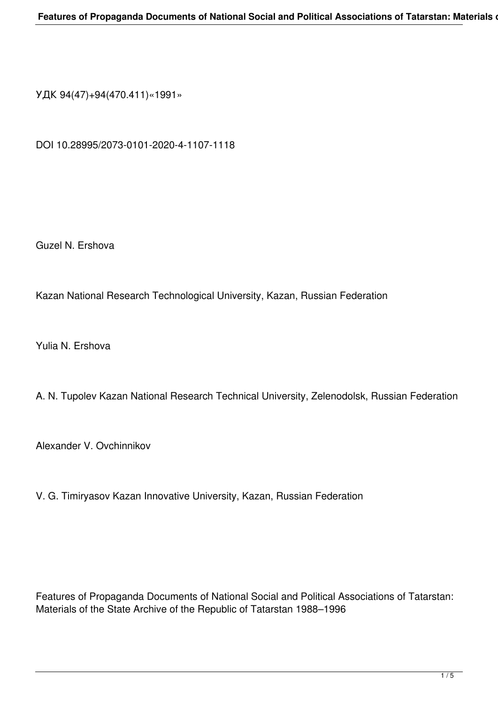УДК 94(47)+94(470.411)«1991»

DOI 10.28995/2073-0101-2020-4-1107-1118

Guzel N. Ershova

Kazan National Research Technological University, Kazan, Russian Federation

Yulia N. Ershova

A. N. Tupolev Kazan National Research Technical University, Zelenodolsk, Russian Federation

Alexandеr V. Ovchinnikov

V. G. Timiryasov Kazan Innovative University, Kazan, Russian Federation

Features of Propaganda Documents of National Social and Political Associations of Tatarstan: Materials of the State Archive of the Republic of Tatarstan 1988–1996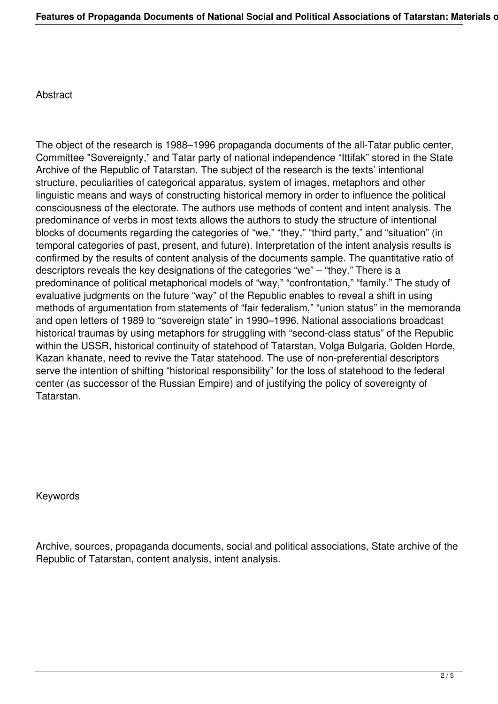Abstract

The object of the research is 1988–1996 propaganda documents of the all-Tatar public center, Committee "Sovereignty," and Tatar party of national independence "Ittifak" stored in the State Archive of the Republic of Tatarstan. The subject of the research is the texts' intentional structure, peculiarities of categorical apparatus, system of images, metaphors and other linguistic means and ways of constructing historical memory in order to influence the political consciousness of the electorate. The authors use methods of content and intent analysis. The predominance of verbs in most texts allows the authors to study the structure of intentional blocks of documents regarding the categories of "we," "they," "third party," and "situation" (in temporal categories of past, present, and future). Interpretation of the intent analysis results is confirmed by the results of content analysis of the documents sample. The quantitative ratio of descriptors reveals the key designations of the categories "we" – "they." There is a predominance of political metaphorical models of "way," "confrontation," "family." The study of evaluative judgments on the future "way" of the Republic enables to reveal a shift in using methods of argumentation from statements of "fair federalism," "union status" in the memoranda and open letters of 1989 to "sovereign state" in 1990–1996. National associations broadcast historical traumas by using metaphors for struggling with "second-class status" of the Republic within the USSR, historical continuity of statehood of Tatarstan, Volga Bulgaria, Golden Horde, Kazan khanate, need to revive the Tatar statehood. The use of non-preferential descriptors serve the intention of shifting "historical responsibility" for the loss of statehood to the federal center (as successor of the Russian Empire) and of justifying the policy of sovereignty of Tatarstan.

Keywords

Archive, sources, propaganda documents, social and political associations, State archive of the Republic of Tatarstan, content analysis, intent analysis.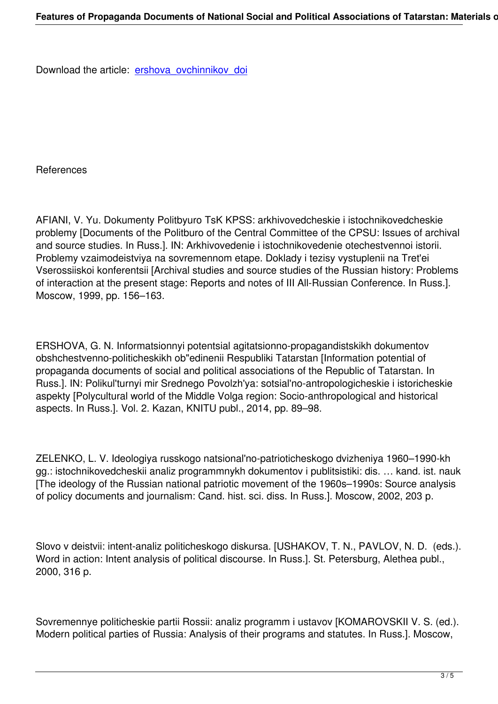## References

AFIANI, V. Yu. Dokumenty Politbyuro TsK KPSS: arkhivovedcheskie i istochnikovedcheskie problemy [Documents of the Politburo of the Central Committee of the CPSU: Issues of archival and source studies. In Russ.]. IN: Arkhivovedenie i istochnikovedenie otechestvennoi istorii. Problemy vzaimodeistviya na sovremennom etape. Doklady i tezisy vystuplenii na Tret'ei Vserossiiskoi konferentsii [Archival studies and source studies of the Russian history: Problems of interaction at the present stage: Reports and notes of III All-Russian Conference. In Russ.]. Moscow, 1999, pp. 156–163.

ERSHOVA, G. N. Informatsionnyi potentsial agitatsionno-propagandistskikh dokumentov obshchestvenno-politicheskikh ob"edinenii Respubliki Tatarstan [Information potential of propaganda documents of social and political associations of the Republic of Tatarstan. In Russ.]. IN: Polikul'turnyi mir Srednego Povolzh'ya: sotsial'no-antropologicheskie i istoricheskie aspekty [Polycultural world of the Middle Volga region: Socio-anthropological and historical aspects. In Russ.]. Vol. 2. Kazan, KNITU publ., 2014, pp. 89–98.

ZELENKO, L. V. Ideologiya russkogo natsional'no-patrioticheskogo dvizheniya 1960–1990-kh gg.: istochnikovedcheskii analiz programmnykh dokumentov i publitsistiki: dis. … kand. ist. nauk [The ideology of the Russian national patriotic movement of the 1960s–1990s: Source analysis of policy documents and journalism: Cand. hist. sci. diss. In Russ.]. Moscow, 2002, 203 р.

Slovo v deistvii: intent-analiz politicheskogo diskursa. [USHAKOV, T. N., PAVLOV, N. D. (eds.). Word in action: Intent analysis of political discourse. In Russ.]. St. Petersburg, Alethea publ., 2000, 316 p.

Sovremennye politicheskie partii Rossii: analiz programm i ustavov [KOMAROVSKII V. S. (ed.). Modern political parties of Russia: Analysis of their programs and statutes. In Russ.]. Moscow,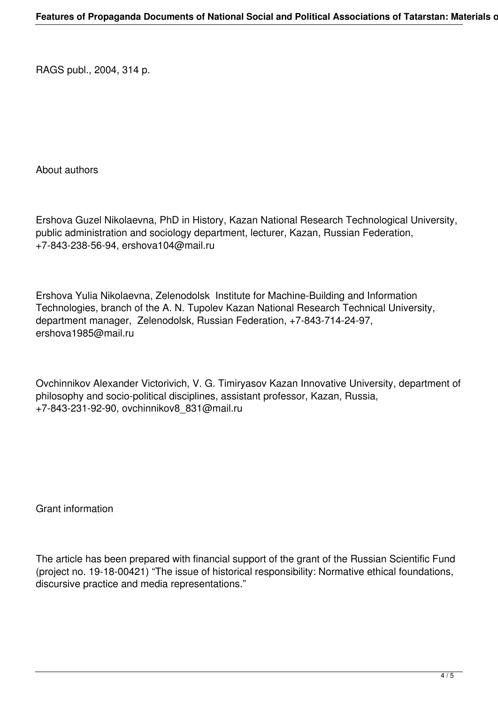RAGS publ., 2004, 314 p.

About authors

Ershova Guzel Nikolaevna, PhD in History, Kazan National Research Technological University, public administration and sociology department, lecturer, Kazan, Russian Federation, +7-843-238-56-94, ershova104@mail.ru

Ershova Yulia Nikolaevna, Zelenodolsk Institute for Machine-Building and Information Technologies, branch of the A. N. Tupolev Kazan National Research Technical University, department manager, Zelenodolsk, Russian Federation, +7-843-714-24-97, ershova1985@mail.ru

Ovchinnikov Alexandеr Victorivich, V. G. Timiryasov Kazan Innovative University, department of philosophy and socio-political disciplines, assistant professor, Kazan, Russia, +7-843-231-92-90, ovchinnikov8\_831@mail.ru

Grant information

The article has been prepared with financial support of the grant of the Russian Scientific Fund (project no. 19-18-00421) "The issue of historical responsibility: Normative ethical foundations, discursive practice and media representations."